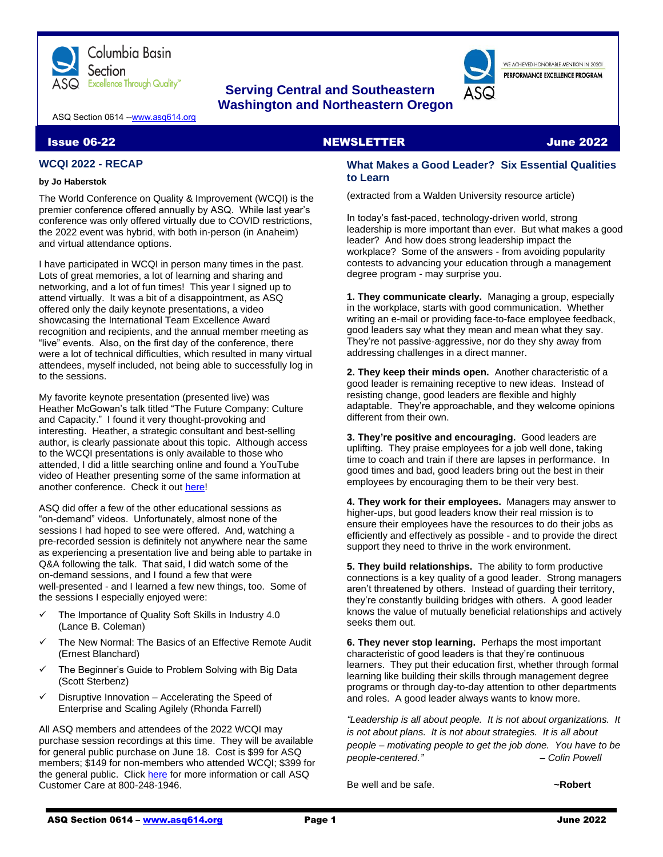

# **Serving Central and Southeastern Washington and Northeastern Oregon**

WE ACHIEVED HONORABLE MENTION IN 2020L PERFORMANCE EXCELLENCE PROGRAM

ASQ Section 0614 -[-www.asq614.org](http://www.asq614.org/)

#### Issue 06-22 NEWSLETTER June 2022

# **WCQI 2022 - RECAP**

#### **by Jo Haberstok**

The World Conference on Quality & Improvement (WCQI) is the premier conference offered annually by ASQ. While last year's conference was only offered virtually due to COVID restrictions, the 2022 event was hybrid, with both in-person (in Anaheim) and virtual attendance options.

I have participated in WCQI in person many times in the past. Lots of great memories, a lot of learning and sharing and networking, and a lot of fun times! This year I signed up to attend virtually. It was a bit of a disappointment, as ASQ offered only the daily keynote presentations, a video showcasing the International Team Excellence Award recognition and recipients, and the annual member meeting as "live" events. Also, on the first day of the conference, there were a lot of technical difficulties, which resulted in many virtual attendees, myself included, not being able to successfully log in to the sessions.

My favorite keynote presentation (presented live) was Heather McGowan's talk titled "The Future Company: Culture and Capacity." I found it very thought-provoking and interesting. Heather, a strategic consultant and best-selling author, is clearly passionate about this topic. Although access to the WCQI presentations is only available to those who attended, I did a little searching online and found a YouTube video of Heather presenting some of the same information at another conference. Check it out [here!](https://www.youtube.com/watch?v=c5Yz73y_1hU)

ASQ did offer a few of the other educational sessions as "on-demand" videos. Unfortunately, almost none of the sessions I had hoped to see were offered. And, watching a pre-recorded session is definitely not anywhere near the same as experiencing a presentation live and being able to partake in Q&A following the talk. That said, I did watch some of the on-demand sessions, and I found a few that were well-presented - and I learned a few new things, too. Some of the sessions I especially enjoyed were:

- The Importance of Quality Soft Skills in Industry 4.0 (Lance B. Coleman)
- The New Normal: The Basics of an Effective Remote Audit (Ernest Blanchard)
- ✓ The Beginner's Guide to Problem Solving with Big Data (Scott Sterbenz)
- Disruptive Innovation Accelerating the Speed of Enterprise and Scaling Agilely (Rhonda Farrell)

All ASQ members and attendees of the 2022 WCQI may purchase session recordings at this time. They will be available for general public purchase on June 18. Cost is \$99 for ASQ members; \$149 for non-members who attended WCQI; \$399 for the general public. Clic[k here](https://asq.org/wcqi) for more information or call ASQ Customer Care at 800-248-1946.

### **What Makes a Good Leader? Six Essential Qualities to Learn**

(extracted from a Walden University resource article)

In today's fast-paced, technology-driven world, strong leadership is more important than ever. But what makes a good leader? And how does strong leadership impact the workplace? Some of the answers - from avoiding popularity contests to advancing your education through a management degree program - may surprise you.

**1. They communicate clearly.** Managing a group, especially in the workplace, starts with good communication. Whether writing an e-mail or providing face-to-face employee feedback, good leaders say what they mean and mean what they say. They're not passive-aggressive, nor do they shy away from addressing challenges in a direct manner.

**2. They keep their minds open.** Another characteristic of a good leader is remaining receptive to new ideas. Instead of resisting change, good leaders are flexible and highly adaptable. They're approachable, and they welcome opinions different from their own.

**3. They're positive and encouraging.** Good leaders are uplifting. They praise employees for a job well done, taking time to coach and train if there are lapses in performance. In good times and bad, good leaders bring out the best in their employees by encouraging them to be their very best.

**4. They work for their employees.** Managers may answer to higher-ups, but good leaders know their real mission is to ensure their employees have the resources to do their jobs as efficiently and effectively as possible - and to provide the direct support they need to thrive in the work environment.

**5. They build relationships.** The ability to form productive connections is a key quality of a good leader. Strong managers aren't threatened by others. Instead of guarding their territory, they're constantly building bridges with others. A good leader knows the value of mutually beneficial relationships and actively seeks them out.

**6. They never stop learning.** Perhaps the most important characteristic of good leaders is that they're continuous learners. They put their education first, whether through formal learning like building their skills through management degree programs or through day-to-day attention to other departments and roles. A good leader always wants to know more.

*"Leadership is all about people. It is not about organizations. It is not about plans. It is not about strategies. It is all about people – motivating people to get the job done. You have to be people-centered." – Colin Powell*

Be well and be safe. **All and be safe.** All and  $\sim$ Robert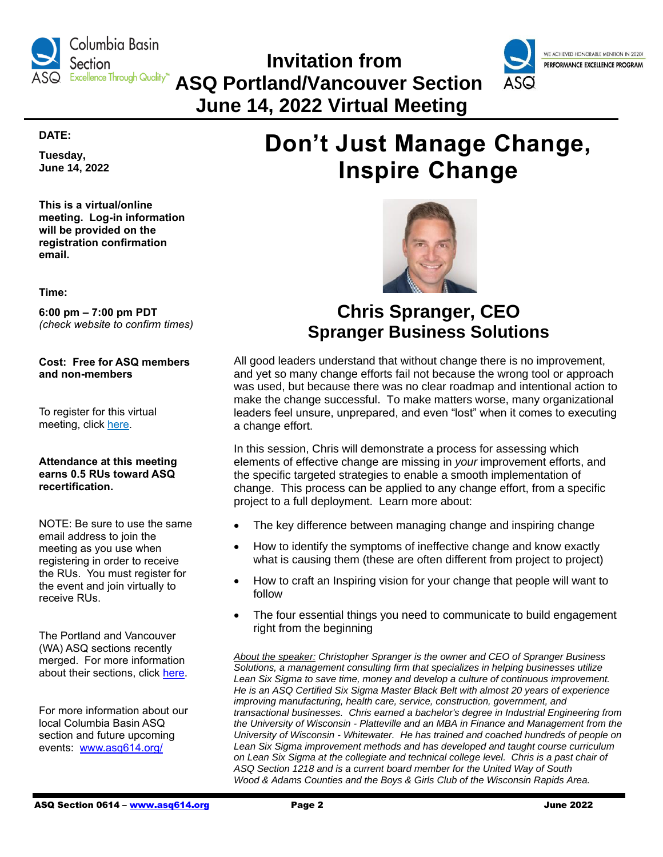

 **Invitation from ASQ Portland/Vancouver Section June 14, 2022 Virtual Meeting**



### **DATE:**

**Tuesday, June 14, 2022**

**This is a virtual/online meeting. Log-in information will be provided on the registration confirmation email.**

**Time:**

**6:00 pm – 7:00 pm PDT** *(check website to confirm times)*

**Cost: Free for ASQ members and non-members**

To register for this virtual meeting, click [here.](https://register.gotowebinar.com/register/7268732156680630285)

# **Attendance at this meeting earns 0.5 RUs toward ASQ recertification.**

NOTE: Be sure to use the same email address to join the meeting as you use when registering in order to receive the RUs. You must register for the event and join virtually to receive RUs.

The Portland and Vancouver (WA) ASQ sections recently merged. For more information about their sections, click [here.](https://my.asq.org/communities/home/220)

For more information about our local Columbia Basin ASQ section and future upcoming events: [www.asq614.org/](http://www.asq614.org/)

# **Don't Just Manage Change, Inspire Change**



# **Chris Spranger, CEO Spranger Business Solutions**

All good leaders understand that without change there is no improvement, and yet so many change efforts fail not because the wrong tool or approach was used, but because there was no clear roadmap and intentional action to make the change successful. To make matters worse, many organizational leaders feel unsure, unprepared, and even "lost" when it comes to executing a change effort.

In this session, Chris will demonstrate a process for assessing which elements of effective change are missing in *your* improvement efforts, and the specific targeted strategies to enable a smooth implementation of change. This process can be applied to any change effort, from a specific project to a full deployment. Learn more about:

- The key difference between managing change and inspiring change
- How to identify the symptoms of ineffective change and know exactly what is causing them (these are often different from project to project)
- How to craft an Inspiring vision for your change that people will want to follow
- The four essential things you need to communicate to build engagement right from the beginning

*About the speaker: Christopher Spranger is the owner and CEO of Spranger Business Solutions, a management consulting firm that specializes in helping businesses utilize Lean Six Sigma to save time, money and develop a culture of continuous improvement. He is an ASQ Certified Six Sigma Master Black Belt with almost 20 years of experience improving manufacturing, health care, service, construction, government, and transactional businesses. Chris earned a bachelor's degree in Industrial Engineering from the University of Wisconsin - Platteville and an MBA in Finance and Management from the University of Wisconsin - Whitewater. He has trained and coached hundreds of people on Lean Six Sigma improvement methods and has developed and taught course curriculum on Lean Six Sigma at the collegiate and technical college level. Chris is a past chair of ASQ Section 1218 and is a current board member for the United Way of South Wood & Adams Counties and the Boys & Girls Club of the Wisconsin Rapids Area.*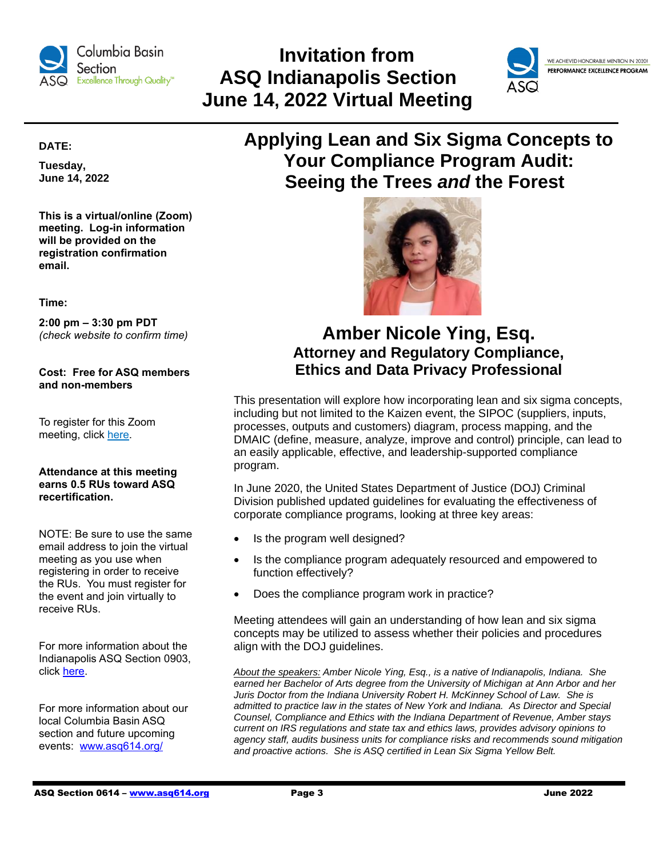

# **Invitation from ASQ Indianapolis Section June 14, 2022 Virtual Meeting**



WE ACHIEVED HONORABLE MENTION IN 2020! PERFORMANCE EXCELLENCE PROGRAM

# **DATE:**

**Tuesday, June 14, 2022**

**This is a virtual/online (Zoom) meeting. Log-in information will be provided on the registration confirmation email.**

**Time:**

**2:00 pm – 3:30 pm PDT** *(check website to confirm time)*

**Cost: Free for ASQ members and non-members**

To register for this Zoom meeting, click [here.](https://www.eventbrite.com/e/indy-asq-june-2022-online-meeting-tickets-337559197647)

# **Attendance at this meeting earns 0.5 RUs toward ASQ recertification.**

NOTE: Be sure to use the same email address to join the virtual meeting as you use when registering in order to receive the RUs. You must register for the event and join virtually to receive RUs.

For more information about the Indianapolis ASQ Section 0903, click [here.](https://my.asq.org/communities/home/147)

For more information about our local Columbia Basin ASQ section and future upcoming events: [www.asq614.org/](http://www.asq614.org/)

# **Applying Lean and Six Sigma Concepts to Your Compliance Program Audit: Seeing the Trees** *and* **the Forest**



# **Amber Nicole Ying, Esq. Attorney and Regulatory Compliance, Ethics and Data Privacy Professional**

This presentation will explore how incorporating lean and six sigma concepts, including but not limited to the Kaizen event, the SIPOC (suppliers, inputs, processes, outputs and customers) diagram, process mapping, and the DMAIC (define, measure, analyze, improve and control) principle, can lead to an easily applicable, effective, and leadership-supported compliance program.

In June 2020, the United States Department of Justice (DOJ) Criminal Division published updated guidelines for evaluating the effectiveness of corporate compliance programs, looking at three key areas:

- Is the program well designed?
- Is the compliance program adequately resourced and empowered to function effectively?
- Does the compliance program work in practice?

Meeting attendees will gain an understanding of how lean and six sigma concepts may be utilized to assess whether their policies and procedures align with the DOJ guidelines.

*About the speakers: Amber Nicole Ying, Esq., is a native of Indianapolis, Indiana. She earned her Bachelor of Arts degree from the University of Michigan at Ann Arbor and her Juris Doctor from the Indiana University Robert H. McKinney School of Law. She is admitted to practice law in the states of New York and Indiana. As Director and Special Counsel, Compliance and Ethics with the Indiana Department of Revenue, Amber stays current on IRS regulations and state tax and ethics laws, provides advisory opinions to agency staff, audits business units for compliance risks and recommends sound mitigation and proactive actions. She is ASQ certified in Lean Six Sigma Yellow Belt.*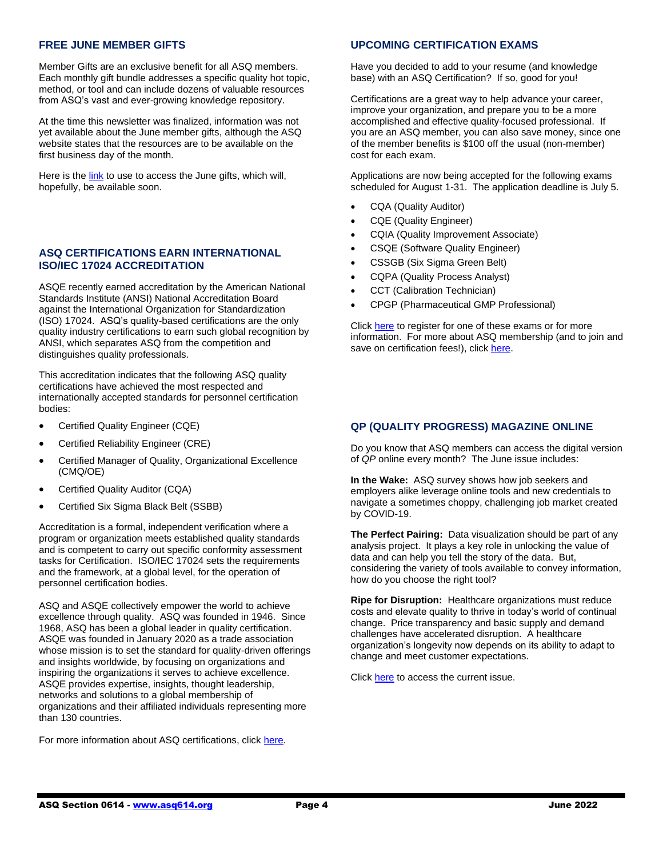### **FREE JUNE MEMBER GIFTS**

Member Gifts are an exclusive benefit for all ASQ members. Each monthly gift bundle addresses a specific quality hot topic, method, or tool and can include dozens of valuable resources from ASQ's vast and ever-growing knowledge repository.

At the time this newsletter was finalized, information was not yet available about the June member gifts, although the ASQ website states that the resources are to be available on the first business day of the month.

Here is the [link](https://asq.org/membership/member-gift/june-2022) to use to access the June gifts, which will, hopefully, be available soon.

# **ASQ CERTIFICATIONS EARN INTERNATIONAL ISO/IEC 17024 ACCREDITATION**

ASQE recently earned accreditation by the American National Standards Institute (ANSI) National Accreditation Board against the International Organization for Standardization (ISO) 17024. ASQ's quality-based certifications are the only quality industry certifications to earn such global recognition by ANSI, which separates ASQ from the competition and distinguishes quality professionals.

This accreditation indicates that the following ASQ quality certifications have achieved the most respected and internationally accepted standards for personnel certification bodies:

- Certified Quality Engineer (CQE)
- Certified Reliability Engineer (CRE)
- Certified Manager of Quality, Organizational Excellence (CMQ/OE)
- Certified Quality Auditor (CQA)
- Certified Six Sigma Black Belt (SSBB)

Accreditation is a formal, independent verification where a program or organization meets established quality standards and is competent to carry out specific conformity assessment tasks for Certification. ISO/IEC 17024 sets the requirements and the framework, at a global level, for the operation of personnel certification bodies.

ASQ and ASQE collectively empower the world to achieve excellence through quality. ASQ was founded in 1946. Since 1968, ASQ has been a global leader in quality certification. ASQE was founded in January 2020 as a trade association whose mission is to set the standard for quality-driven offerings and insights worldwide, by focusing on organizations and inspiring the organizations it serves to achieve excellence. ASQE provides expertise, insights, thought leadership, networks and solutions to a global membership of organizations and their affiliated individuals representing more than 130 countries.

For more information about ASQ certifications, clic[k here.](https://asq.org/cert)

### **UPCOMING CERTIFICATION EXAMS**

Have you decided to add to your resume (and knowledge base) with an ASQ Certification? If so, good for you!

Certifications are a great way to help advance your career, improve your organization, and prepare you to be a more accomplished and effective quality-focused professional. If you are an ASQ member, you can also save money, since one of the member benefits is \$100 off the usual (non-member) cost for each exam.

Applications are now being accepted for the following exams scheduled for August 1-31. The application deadline is July 5.

- CQA (Quality Auditor)
- CQE (Quality Engineer)
- CQIA (Quality Improvement Associate)
- CSQE (Software Quality Engineer)
- CSSGB (Six Sigma Green Belt)
- CQPA (Quality Process Analyst)
- CCT (Calibration Technician)
- CPGP (Pharmaceutical GMP Professional)

Click [here](https://asq.org/cert/dates) to register for one of these exams or for more information. For more about ASQ membership (and to join and save on certification fees!), clic[k here.](https://asq.org/membership/individuals)

### **QP (QUALITY PROGRESS) MAGAZINE ONLINE**

Do you know that ASQ members can access the digital version of *QP* online every month? The June issue includes:

**In the Wake:** ASQ survey shows how job seekers and employers alike leverage online tools and new credentials to navigate a sometimes choppy, challenging job market created by COVID-19.

**The Perfect Pairing:** Data visualization should be part of any analysis project. It plays a key role in unlocking the value of data and can help you tell the story of the data. But, considering the variety of tools available to convey information, how do you choose the right tool?

**Ripe for Disruption:** Healthcare organizations must reduce costs and elevate quality to thrive in today's world of continual change. Price transparency and basic supply and demand challenges have accelerated disruption. A healthcare organization's longevity now depends on its ability to adapt to change and meet customer expectations.

Click [here](https://digital.asq.org/qualityprogress/june_2022/MobilePagedReplica.action?pm=2&folio=Cover#pg1) to access the current issue.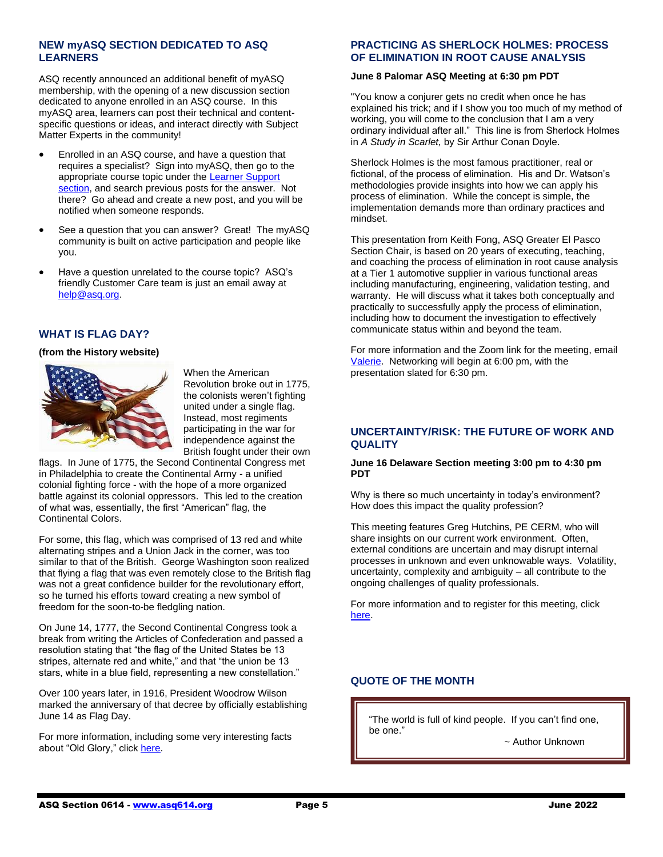# **NEW myASQ SECTION DEDICATED TO ASQ LEARNERS**

ASQ recently announced an additional benefit of myASQ membership, with the opening of a new discussion section dedicated to anyone enrolled in an ASQ course. In this myASQ area, learners can post their technical and contentspecific questions or ideas, and interact directly with Subject Matter Experts in the community!

- Enrolled in an ASQ course, and have a question that requires a specialist? Sign into myASQ, then go to the appropriate course topic under the [Learner Support](https://my.asq.org/news/21/3057)  [section,](https://my.asq.org/news/21/3057) and search previous posts for the answer. Not there? Go ahead and create a new post, and you will be notified when someone responds.
- See a question that you can answer? Great! The myASQ community is built on active participation and people like you.
- Have a question unrelated to the course topic? ASQ's friendly Customer Care team is just an email away at [help@asq.org.](mailto:help@asq.org)

# **WHAT IS FLAG DAY?**

#### **(from the History website)**



When the American Revolution broke out in 1775, the colonists weren't fighting united under a single flag. Instead, most regiments participating in the war for independence against the British fought under their own

flags. In June of 1775, the Second Continental Congress met in Philadelphia to create the Continental Army - a unified colonial fighting force - with the hope of a more organized battle against its colonial oppressors. This led to the creation of what was, essentially, the first "American" flag, the Continental Colors.

For some, this flag, which was comprised of 13 red and white alternating stripes and a Union Jack in the corner, was too similar to that of the British. George Washington soon realized that flying a flag that was even remotely close to the British flag was not a great confidence builder for the revolutionary effort, so he turned his efforts toward creating a new symbol of freedom for the soon-to-be fledgling nation.

On June 14, 1777, the Second Continental Congress took a break from writing the Articles of Confederation and passed a resolution stating that "the flag of the United States be 13 stripes, alternate red and white," and that "the union be 13 stars, white in a blue field, representing a new constellation."

Over 100 years later, in 1916, President Woodrow Wilson marked the anniversary of that decree by officially establishing June 14 as Flag Day.

For more information, including some very interesting facts about "Old Glory," click [here.](https://www.history.com/news/what-is-flag-day)

# **PRACTICING AS SHERLOCK HOLMES: PROCESS OF ELIMINATION IN ROOT CAUSE ANALYSIS**

#### **June 8 Palomar ASQ Meeting at 6:30 pm PDT**

"You know a conjurer gets no credit when once he has explained his trick; and if I show you too much of my method of working, you will come to the conclusion that I am a very ordinary individual after all." This line is from Sherlock Holmes in *A Study in Scarlet,* by Sir Arthur Conan Doyle.

Sherlock Holmes is the most famous practitioner, real or fictional, of the process of elimination. His and Dr. Watson's methodologies provide insights into how we can apply his process of elimination. While the concept is simple, the implementation demands more than ordinary practices and mindset.

This presentation from Keith Fong, ASQ Greater El Pasco Section Chair, is based on 20 years of executing, teaching, and coaching the process of elimination in root cause analysis at a Tier 1 automotive supplier in various functional areas including manufacturing, engineering, validation testing, and warranty. He will discuss what it takes both conceptually and practically to successfully apply the process of elimination, including how to document the investigation to effectively communicate status within and beyond the team.

For more information and the Zoom link for the meeting, email [Valerie.](mailto:Secretary@asqpalomar.org) Networking will begin at 6:00 pm, with the presentation slated for 6:30 pm.

#### **UNCERTAINTY/RISK: THE FUTURE OF WORK AND QUALITY**

#### **June 16 Delaware Section meeting 3:00 pm to 4:30 pm PDT**

Why is there so much uncertainty in today's environment? How does this impact the quality profession?

This meeting features Greg Hutchins, PE CERM, who will share insights on our current work environment. Often, external conditions are uncertain and may disrupt internal processes in unknown and even unknowable ways. Volatility, uncertainty, complexity and ambiguity – all contribute to the ongoing challenges of quality professionals.

For more information and to register for this meeting, click [here.](https://my.asq.org/communities/events/item/278/60/4178)

# **QUOTE OF THE MONTH**

"The world is full of kind people. If you can't find one, be one."

~ Author Unknown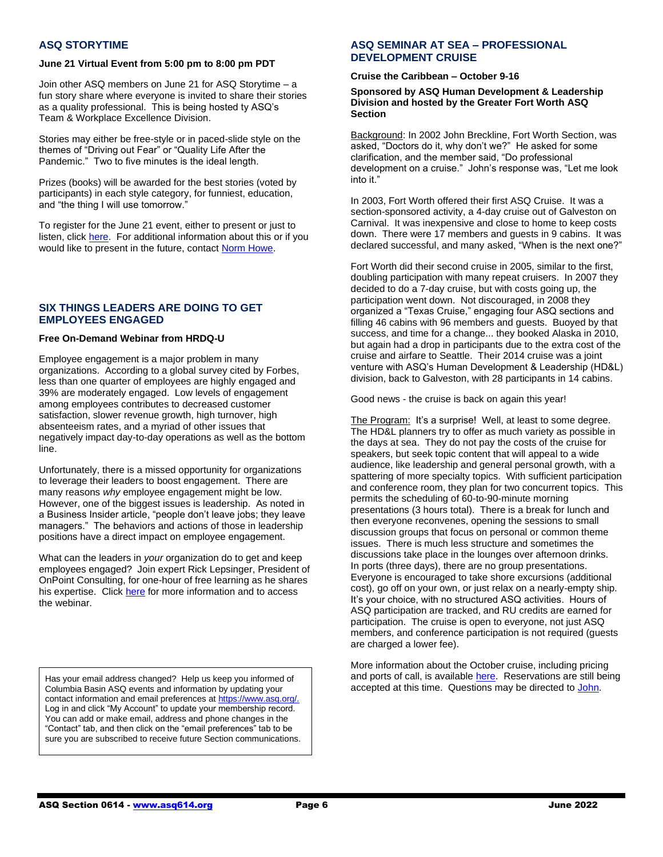### **ASQ STORYTIME**

#### **June 21 Virtual Event from 5:00 pm to 8:00 pm PDT**

Join other ASQ members on June 21 for ASQ Storytime – a fun story share where everyone is invited to share their stories as a quality professional. This is being hosted ty ASQ's Team & Workplace Excellence Division.

Stories may either be free-style or in paced-slide style on the themes of "Driving out Fear" or "Quality Life After the Pandemic." Two to five minutes is the ideal length.

Prizes (books) will be awarded for the best stories (voted by participants) in each style category, for funniest, education, and "the thing I will use tomorrow."

To register for the June 21 event, either to present or just to listen, click [here.](https://my.asq.org/communities/events/item/170/60/4080) For additional information about this or if you would like to present in the future, contac[t Norm Howe.](mailto:nhowe@memberleader.asq.org)

### **SIX THINGS LEADERS ARE DOING TO GET EMPLOYEES ENGAGED**

#### **Free On-Demand Webinar from HRDQ-U**

Employee engagement is a major problem in many organizations. According to a global survey cited by Forbes, less than one quarter of employees are highly engaged and 39% are moderately engaged. Low levels of engagement among employees contributes to decreased customer satisfaction, slower revenue growth, high turnover, high absenteeism rates, and a myriad of other issues that negatively impact day-to-day operations as well as the bottom line.

Unfortunately, there is a missed opportunity for organizations to leverage their leaders to boost engagement. There are many reasons *why* employee engagement might be low. However, one of the biggest issues is leadership. As noted in a Business Insider article, "people don't leave jobs; they leave managers." The behaviors and actions of those in leadership positions have a direct impact on employee engagement.

What can the leaders in *your* organization do to get and keep employees engaged? Join expert Rick Lepsinger, President of OnPoint Consulting, for one-hour of free learning as he shares his expertise. Click [here](https://hrdqu.com/recorded-webinar-6-things-leaders-are-doing-to-get-employees-engaged/) for more information and to access the webinar.

Has your email address changed? Help us keep you informed of Columbia Basin ASQ events and information by updating your contact information and email preferences at https://www.asq.org/. Log in and click "My Account" to update your membership record. You can add or make email, address and phone changes in the "Contact" tab, and then click on the "email preferences" tab to be sure you are subscribed to receive future Section communications.

### **ASQ SEMINAR AT SEA – PROFESSIONAL DEVELOPMENT CRUISE**

#### **Cruise the Caribbean – October 9-16**

#### **Sponsored by ASQ Human Development & Leadership Division and hosted by the Greater Fort Worth ASQ Section**

Background: In 2002 John Breckline, Fort Worth Section, was asked, "Doctors do it, why don't we?" He asked for some clarification, and the member said, "Do professional development on a cruise." John's response was, "Let me look into it."

In 2003, Fort Worth offered their first ASQ Cruise. It was a section-sponsored activity, a 4-day cruise out of Galveston on Carnival. It was inexpensive and close to home to keep costs down. There were 17 members and guests in 9 cabins. It was declared successful, and many asked, "When is the next one?"

Fort Worth did their second cruise in 2005, similar to the first, doubling participation with many repeat cruisers. In 2007 they decided to do a 7-day cruise, but with costs going up, the participation went down. Not discouraged, in 2008 they organized a "Texas Cruise," engaging four ASQ sections and filling 46 cabins with 96 members and guests. Buoyed by that success, and time for a change... they booked Alaska in 2010, but again had a drop in participants due to the extra cost of the cruise and airfare to Seattle. Their 2014 cruise was a joint venture with ASQ's Human Development & Leadership (HD&L) division, back to Galveston, with 28 participants in 14 cabins.

Good news - the cruise is back on again this year!

The Program: It's a surprise! Well, at least to some degree. The HD&L planners try to offer as much variety as possible in the days at sea. They do not pay the costs of the cruise for speakers, but seek topic content that will appeal to a wide audience, like leadership and general personal growth, with a spattering of more specialty topics. With sufficient participation and conference room, they plan for two concurrent topics. This permits the scheduling of 60-to-90-minute morning presentations (3 hours total). There is a break for lunch and then everyone reconvenes, opening the sessions to small discussion groups that focus on personal or common theme issues. There is much less structure and sometimes the discussions take place in the lounges over afternoon drinks. In ports (three days), there are no group presentations. Everyone is encouraged to take shore excursions (additional cost), go off on your own, or just relax on a nearly-empty ship. It's your choice, with no structured ASQ activities. Hours of ASQ participation are tracked, and RU credits are earned for participation. The cruise is open to everyone, not just ASQ members, and conference participation is not required (guests are charged a lower fee).

More information about the October cruise, including pricing and ports of call, is availabl[e here.](https://www.asqfortworth.org/uploads/1/0/6/5/106589133/2022_cruise_overview_info_-_web_post.pdf) Reservations are still being accepted at this time. Questions may be directed t[o John.](mailto:jbreckline@att.net)